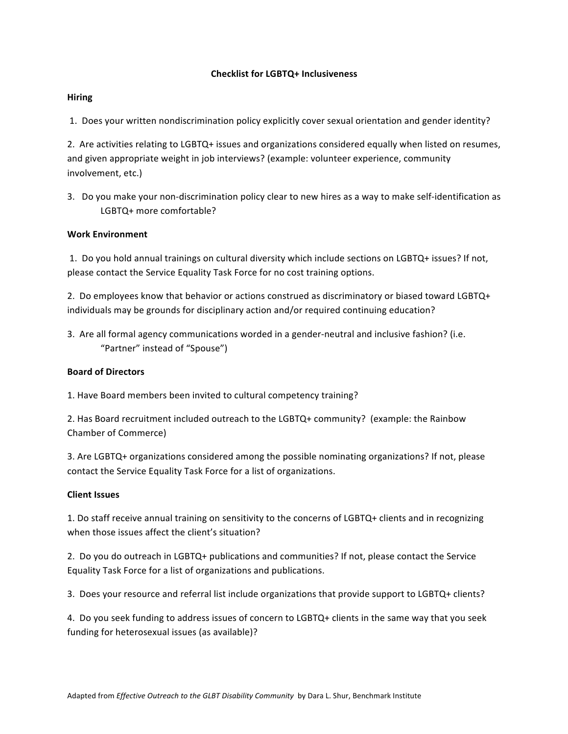### **Checklist for LGBTQ+ Inclusiveness**

#### **Hiring**

1. Does your written nondiscrimination policy explicitly cover sexual orientation and gender identity?

2. Are activities relating to LGBTQ+ issues and organizations considered equally when listed on resumes, and given appropriate weight in job interviews? (example: volunteer experience, community involvement, etc.)

3. Do you make your non-discrimination policy clear to new hires as a way to make self-identification as LGBTQ+ more comfortable?

# **Work Environment**

1. Do you hold annual trainings on cultural diversity which include sections on LGBTQ+ issues? If not, please contact the Service Equality Task Force for no cost training options.

2. Do employees know that behavior or actions construed as discriminatory or biased toward LGBTQ+ individuals may be grounds for disciplinary action and/or required continuing education?

3. Are all formal agency communications worded in a gender-neutral and inclusive fashion? (i.e. "Partner" instead of "Spouse")

# **Board of Directors**

1. Have Board members been invited to cultural competency training?

2. Has Board recruitment included outreach to the LGBTQ+ community? (example: the Rainbow Chamber of Commerce)

3. Are LGBTQ+ organizations considered among the possible nominating organizations? If not, please contact the Service Equality Task Force for a list of organizations.

#### **Client Issues**

1. Do staff receive annual training on sensitivity to the concerns of LGBTQ+ clients and in recognizing when those issues affect the client's situation?

2. Do you do outreach in LGBTQ+ publications and communities? If not, please contact the Service Equality Task Force for a list of organizations and publications.

3. Does your resource and referral list include organizations that provide support to LGBTQ+ clients?

4. Do you seek funding to address issues of concern to LGBTQ+ clients in the same way that you seek funding for heterosexual issues (as available)?